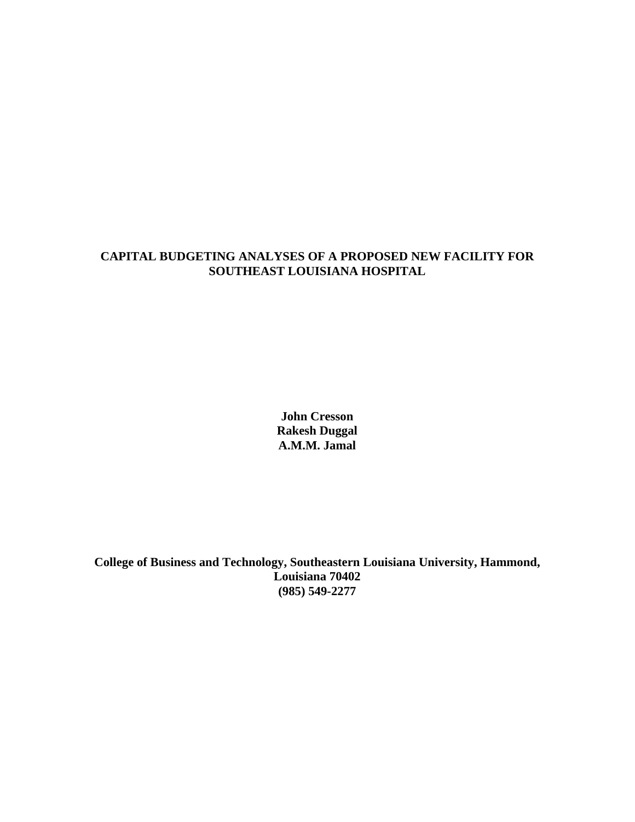### **CAPITAL BUDGETING ANALYSES OF A PROPOSED NEW FACILITY FOR SOUTHEAST LOUISIANA HOSPITAL**

**John Cresson Rakesh Duggal A.M.M. Jamal** 

**College of Business and Technology, Southeastern Louisiana University, Hammond, Louisiana 70402 (985) 549-2277**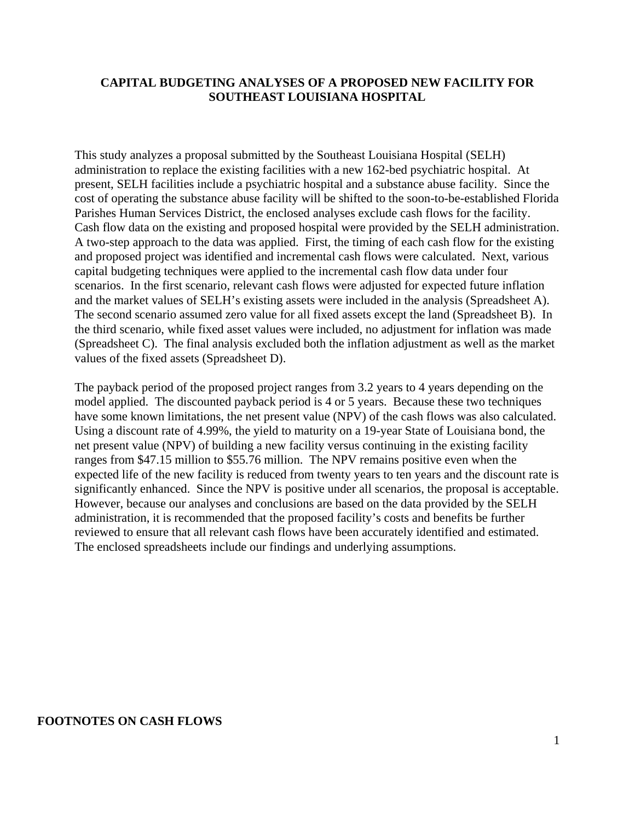#### **CAPITAL BUDGETING ANALYSES OF A PROPOSED NEW FACILITY FOR SOUTHEAST LOUISIANA HOSPITAL**

This study analyzes a proposal submitted by the Southeast Louisiana Hospital (SELH) administration to replace the existing facilities with a new 162-bed psychiatric hospital. At present, SELH facilities include a psychiatric hospital and a substance abuse facility. Since the cost of operating the substance abuse facility will be shifted to the soon-to-be-established Florida Parishes Human Services District, the enclosed analyses exclude cash flows for the facility. Cash flow data on the existing and proposed hospital were provided by the SELH administration. A two-step approach to the data was applied. First, the timing of each cash flow for the existing and proposed project was identified and incremental cash flows were calculated. Next, various capital budgeting techniques were applied to the incremental cash flow data under four scenarios. In the first scenario, relevant cash flows were adjusted for expected future inflation and the market values of SELH's existing assets were included in the analysis (Spreadsheet A). The second scenario assumed zero value for all fixed assets except the land (Spreadsheet B). In the third scenario, while fixed asset values were included, no adjustment for inflation was made (Spreadsheet C). The final analysis excluded both the inflation adjustment as well as the market values of the fixed assets (Spreadsheet D).

The payback period of the proposed project ranges from 3.2 years to 4 years depending on the model applied. The discounted payback period is 4 or 5 years. Because these two techniques have some known limitations, the net present value (NPV) of the cash flows was also calculated. Using a discount rate of 4.99%, the yield to maturity on a 19-year State of Louisiana bond, the net present value (NPV) of building a new facility versus continuing in the existing facility ranges from \$47.15 million to \$55.76 million. The NPV remains positive even when the expected life of the new facility is reduced from twenty years to ten years and the discount rate is significantly enhanced. Since the NPV is positive under all scenarios, the proposal is acceptable. However, because our analyses and conclusions are based on the data provided by the SELH administration, it is recommended that the proposed facility's costs and benefits be further reviewed to ensure that all relevant cash flows have been accurately identified and estimated. The enclosed spreadsheets include our findings and underlying assumptions.

#### **FOOTNOTES ON CASH FLOWS**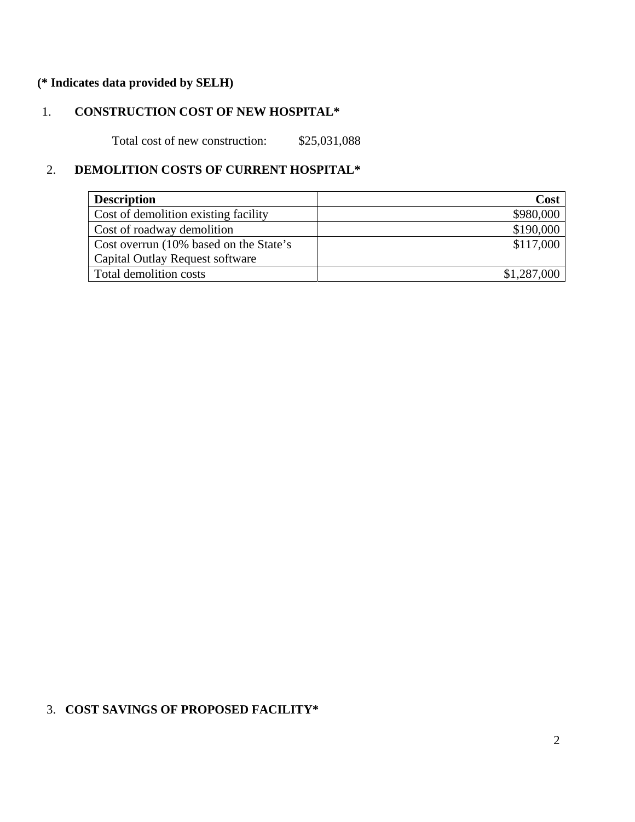# **(\* Indicates data provided by SELH)**

# 1. **CONSTRUCTION COST OF NEW HOSPITAL\***

Total cost of new construction: \$25,031,088

# 2. **DEMOLITION COSTS OF CURRENT HOSPITAL\***

| <b>Description</b>                     | Cost        |
|----------------------------------------|-------------|
| Cost of demolition existing facility   | \$980,000   |
| Cost of roadway demolition             | \$190,000   |
| Cost overrun (10% based on the State's | \$117,000   |
| Capital Outlay Request software        |             |
| Total demolition costs                 | \$1,287,000 |

### 3. **COST SAVINGS OF PROPOSED FACILITY\***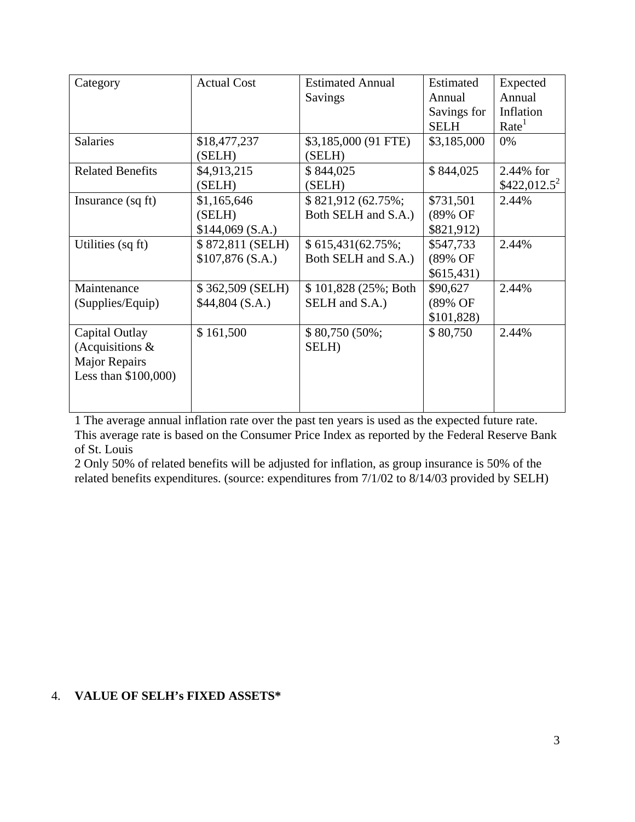| Category                | <b>Actual Cost</b> | <b>Estimated Annual</b> |             | Expected          |
|-------------------------|--------------------|-------------------------|-------------|-------------------|
|                         |                    | Savings                 | Annual      | Annual            |
|                         |                    |                         | Savings for | Inflation         |
|                         |                    |                         | <b>SELH</b> | Rate <sup>1</sup> |
| <b>Salaries</b>         | \$18,477,237       | \$3,185,000 (91 FTE)    | \$3,185,000 | 0%                |
|                         | (SELH)             | (SELH)                  |             |                   |
| <b>Related Benefits</b> | \$4,913,215        | \$844,025               | \$844,025   | 2.44% for         |
|                         | (SELH)             | (SELH)                  |             | $$422,012.5^2$    |
| Insurance (sq ft)       | \$1,165,646        | \$821,912 (62.75%;      | \$731,501   | 2.44%             |
|                         | (SELH)             | Both SELH and S.A.)     | (89% OF     |                   |
|                         | \$144,069(S.A.)    |                         | \$821,912)  |                   |
| Utilities (sq ft)       | \$872,811 (SELH)   | $$615,431(62.75\%);$    | \$547,733   | 2.44%             |
|                         | \$107,876(S.A.)    | Both SELH and S.A.)     | (89% OF     |                   |
|                         |                    |                         | \$615,431)  |                   |
| Maintenance             | \$362,509 (SELH)   | \$101,828 (25%; Both    | \$90,627    | 2.44%             |
| (Supplies/Equip)        | $$44,804$ (S.A.)   | SELH and S.A.)          | (89% OF     |                   |
|                         |                    |                         | \$101,828   |                   |
| Capital Outlay          | \$161,500          | $$80,750(50\%);$        | \$80,750    | 2.44%             |
| (Acquisitions $\&$      |                    | SELH)                   |             |                   |
| <b>Major Repairs</b>    |                    |                         |             |                   |
| Less than $$100,000$    |                    |                         |             |                   |
|                         |                    |                         |             |                   |
|                         |                    |                         |             |                   |

1 The average annual inflation rate over the past ten years is used as the expected future rate. This average rate is based on the Consumer Price Index as reported by the Federal Reserve Bank of St. Louis

2 Only 50% of related benefits will be adjusted for inflation, as group insurance is 50% of the related benefits expenditures. (source: expenditures from 7/1/02 to 8/14/03 provided by SELH)

# 4. **VALUE OF SELH's FIXED ASSETS\***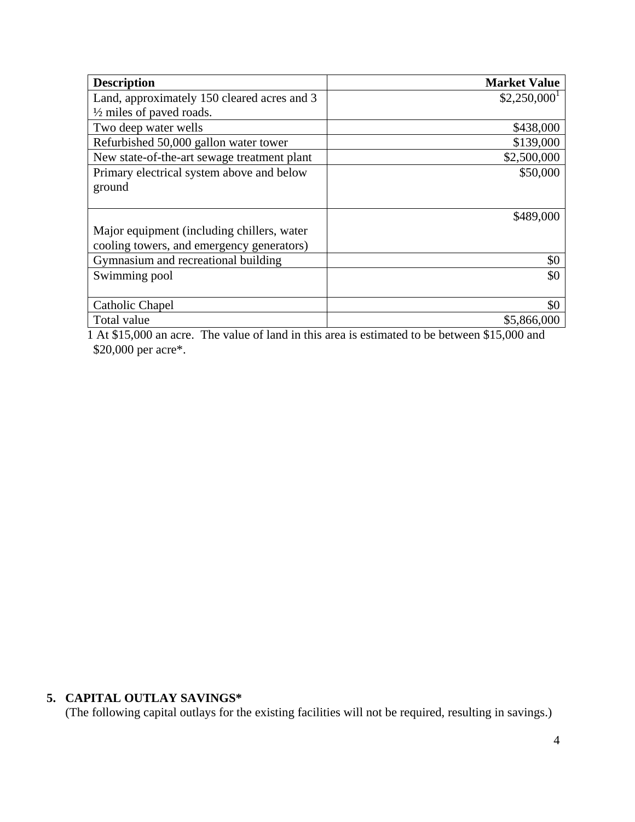| <b>Description</b>                          | <b>Market Value</b>       |
|---------------------------------------------|---------------------------|
| Land, approximately 150 cleared acres and 3 | $$2,250,000$ <sup>1</sup> |
| $\frac{1}{2}$ miles of paved roads.         |                           |
| Two deep water wells                        | \$438,000                 |
| Refurbished 50,000 gallon water tower       | \$139,000                 |
| New state-of-the-art sewage treatment plant | \$2,500,000               |
| Primary electrical system above and below   | \$50,000                  |
| ground                                      |                           |
|                                             |                           |
|                                             | \$489,000                 |
| Major equipment (including chillers, water  |                           |
| cooling towers, and emergency generators)   |                           |
| Gymnasium and recreational building         | \$0                       |
| Swimming pool                               | \$0                       |
|                                             |                           |
| Catholic Chapel                             | \$0                       |
| Total value                                 | \$5,866,000               |

 1 At \$15,000 an acre. The value of land in this area is estimated to be between \$15,000 and \$20,000 per acre\*.

# **5. CAPITAL OUTLAY SAVINGS\***

(The following capital outlays for the existing facilities will not be required, resulting in savings.)